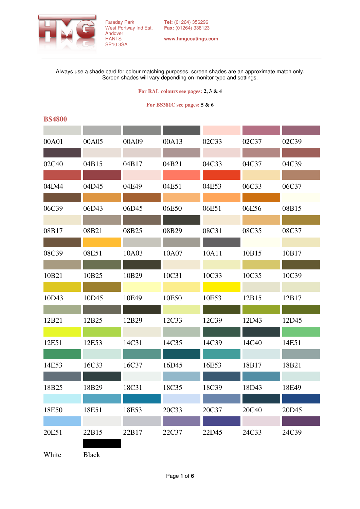

**www.hmgcoatings.com** 

Always use a shade card for colour matching purposes, screen shades are an approximate match only. Screen shades will vary depending on monitor type and settings.

#### **For RAL colours see pages: 2, 3 & 4**

### **For BS381C see pages: 5 & 6**

## **BS4800**

| 00A01 | 00A05        | 00A09 | 00A13 | 02C33 | 02C37 | 02C39 |
|-------|--------------|-------|-------|-------|-------|-------|
|       |              |       |       |       |       |       |
| 02C40 | 04B15        | 04B17 | 04B21 | 04C33 | 04C37 | 04C39 |
|       |              |       |       |       |       |       |
| 04D44 | 04D45        | 04E49 | 04E51 | 04E53 | 06C33 | 06C37 |
|       |              |       |       |       |       |       |
| 06C39 | 06D43        | 06D45 | 06E50 | 06E51 | 06E56 | 08B15 |
| 08B17 | 08B21        | 08B25 | 08B29 | 08C31 | 08C35 | 08C37 |
|       |              |       |       |       |       |       |
| 08C39 | 08E51        | 10A03 | 10A07 | 10A11 | 10B15 | 10B17 |
|       |              |       |       |       |       |       |
| 10B21 | 10B25        | 10B29 | 10C31 | 10C33 | 10C35 | 10C39 |
|       |              |       |       |       |       |       |
| 10D43 | 10D45        | 10E49 | 10E50 | 10E53 | 12B15 | 12B17 |
|       |              |       |       |       |       |       |
| 12B21 | 12B25        | 12B29 | 12C33 | 12C39 | 12D43 | 12D45 |
|       |              |       |       |       |       |       |
| 12E51 | 12E53        | 14C31 | 14C35 | 14C39 | 14C40 | 14E51 |
| 14E53 | 16C33        | 16C37 | 16D45 | 16E53 | 18B17 | 18B21 |
|       |              |       |       |       |       |       |
| 18B25 | 18B29        | 18C31 | 18C35 | 18C39 | 18D43 | 18E49 |
|       |              |       |       |       |       |       |
| 18E50 | 18E51        | 18E53 | 20C33 | 20C37 | 20C40 | 20D45 |
|       |              |       |       |       |       |       |
| 20E51 | 22B15        | 22B17 | 22C37 | 22D45 | 24C33 | 24C39 |
|       |              |       |       |       |       |       |
| White | <b>Black</b> |       |       |       |       |       |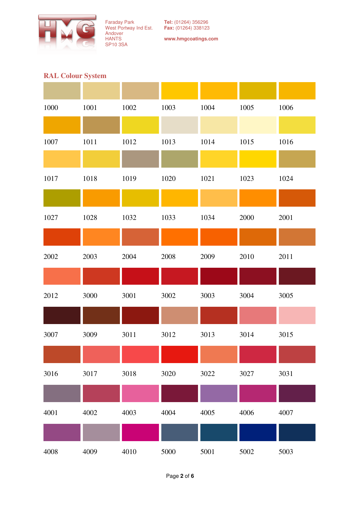

**www.hmgcoatings.com** 

# **RAL Colour System**

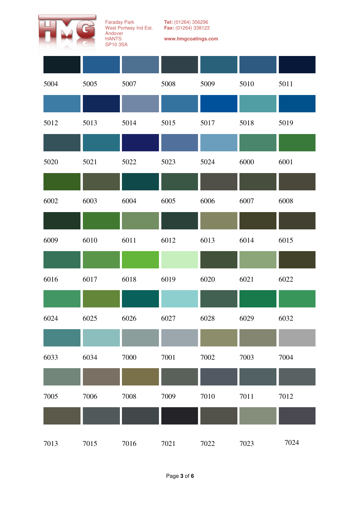

**Tel:** (01264) 356296 **Fax:** (01264) 338123

| 5004 | 5005 | 5007 | 5008 | 5009 | 5010 | 5011 |
|------|------|------|------|------|------|------|
|      |      |      |      |      |      |      |
| 5012 | 5013 | 5014 | 5015 | 5017 | 5018 | 5019 |
|      |      |      |      |      |      |      |
| 5020 | 5021 | 5022 | 5023 | 5024 | 6000 | 6001 |
|      |      |      |      |      |      |      |
| 6002 | 6003 | 6004 | 6005 | 6006 | 6007 | 6008 |
|      |      |      |      |      |      |      |
| 6009 | 6010 | 6011 | 6012 | 6013 | 6014 | 6015 |
|      |      |      |      |      |      |      |
| 6016 | 6017 | 6018 | 6019 | 6020 | 6021 | 6022 |
|      |      |      |      |      |      |      |
| 6024 | 6025 | 6026 | 6027 | 6028 | 6029 | 6032 |
|      |      |      |      |      |      |      |
| 6033 | 6034 | 7000 | 7001 | 7002 | 7003 | 7004 |
|      |      |      |      |      |      |      |
| 7005 | 7006 | 7008 | 7009 | 7010 | 7011 | 7012 |
|      |      |      |      |      |      |      |
| 7013 | 7015 | 7016 | 7021 | 7022 | 7023 | 7024 |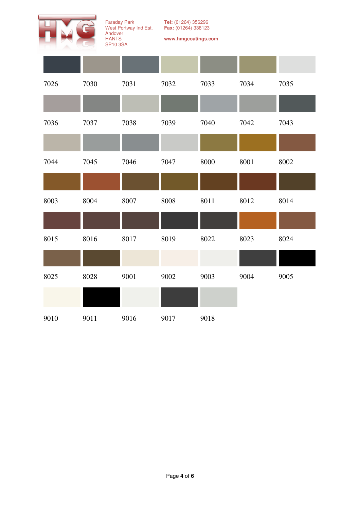

**Tel:** (01264) 356296 **Fax:** (01264) 338123

| 7026 | 7030 | 7031 | 7032 | 7033 | 7034 | 7035 |
|------|------|------|------|------|------|------|
|      |      |      |      |      |      |      |
| 7036 | 7037 | 7038 | 7039 | 7040 | 7042 | 7043 |
|      |      |      |      |      |      |      |
| 7044 | 7045 | 7046 | 7047 | 8000 | 8001 | 8002 |
|      |      |      |      |      |      |      |
| 8003 | 8004 | 8007 | 8008 | 8011 | 8012 | 8014 |
|      |      |      |      |      |      |      |
| 8015 | 8016 | 8017 | 8019 | 8022 | 8023 | 8024 |
|      |      |      |      |      |      |      |
| 8025 | 8028 | 9001 | 9002 | 9003 | 9004 | 9005 |
|      |      |      |      |      |      |      |
| 9010 | 9011 | 9016 | 9017 | 9018 |      |      |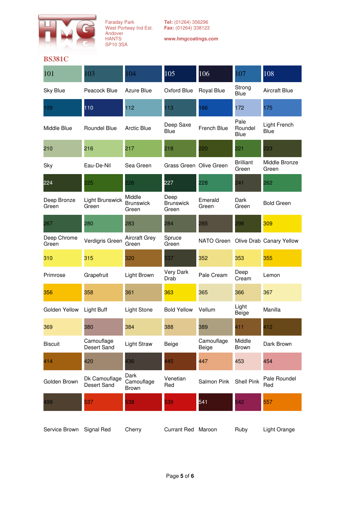

| 101                  | 103                          | 104                                 | 105                               | $\overline{106}$    | 107                            | 108                                 |
|----------------------|------------------------------|-------------------------------------|-----------------------------------|---------------------|--------------------------------|-------------------------------------|
| <b>Sky Blue</b>      | Peacock Blue                 | Azure Blue                          | Oxford Blue                       | Royal Blue          | Strong<br>Blue                 | <b>Aircraft Blue</b>                |
| 109                  | 110                          | 112                                 | 113                               | 166                 | 172                            | 175                                 |
| Middle Blue          | Roundel Blue                 | Arctic Blue                         | Deep Saxe<br><b>Blue</b>          | French Blue         | Pale<br>Roundel<br><b>Blue</b> | Light French<br>Blue                |
| 210                  | 216                          | 217                                 | 218                               | 220                 | 221                            | 223                                 |
| Sky                  | Eau-De-Nil                   | Sea Green                           | Grass Green Olive Green           |                     | <b>Brilliant</b><br>Green      | Middle Bronze<br>Green              |
| 224                  | 225                          | 226                                 | 227                               | 228                 | 241                            | 262                                 |
| Deep Bronze<br>Green | Light Brunswick<br>Green     | Middle<br><b>Brunswick</b><br>Green | Deep<br><b>Brunswick</b><br>Green | Emerald<br>Green    | Dark<br>Green                  | <b>Bold Green</b>                   |
| 267                  | 280                          | 283                                 | 284                               | 285                 | 298                            | 309                                 |
| Deep Chrome<br>Green | Verdigris Green              | <b>Aircraft Grey</b><br>Green       | Spruce<br>Green                   |                     |                                | NATO Green Olive Drab Canary Yellow |
| 310                  | 315                          | 320                                 | 337                               | 352                 | 353                            | 355                                 |
| Primrose             | Grapefruit                   | Light Brown                         | Very Dark<br>Drab                 | Pale Cream          | Deep<br>Cream                  | Lemon                               |
| 356                  | 358                          | 361                                 | 363                               | 365                 | 366                            | 367                                 |
| Golden Yellow        | <b>Light Buff</b>            | Light Stone                         | <b>Bold Yellow</b>                | Vellum              | Light<br><b>Beige</b>          | Manilla                             |
| 369                  | 380                          | 384                                 | 388                               | 389                 | 411                            | 412                                 |
| <b>Biscuit</b>       | Camouflage<br>Desert Sand    | <b>Light Straw</b>                  | Beige                             | Camouflage<br>Beige | Middle<br><b>Brown</b>         | Dark Brown                          |
| 414                  | 420                          | 436                                 | 445                               | 447                 | 453                            | 454                                 |
| Golden Brown         | Dk Camouflage<br>Desert Sand | Dark<br>Camouflage<br><b>Brown</b>  | Venetian<br>Red                   | Salmon Pink         | <b>Shell Pink</b>              | Pale Roundel<br>Red                 |
| 499                  | 537                          | 538                                 | 539                               | 541                 | 542                            | 557                                 |
| Service Brown        | Signal Red                   | Cherry                              | Currant Red Maroon                |                     | Ruby                           | Light Orange                        |